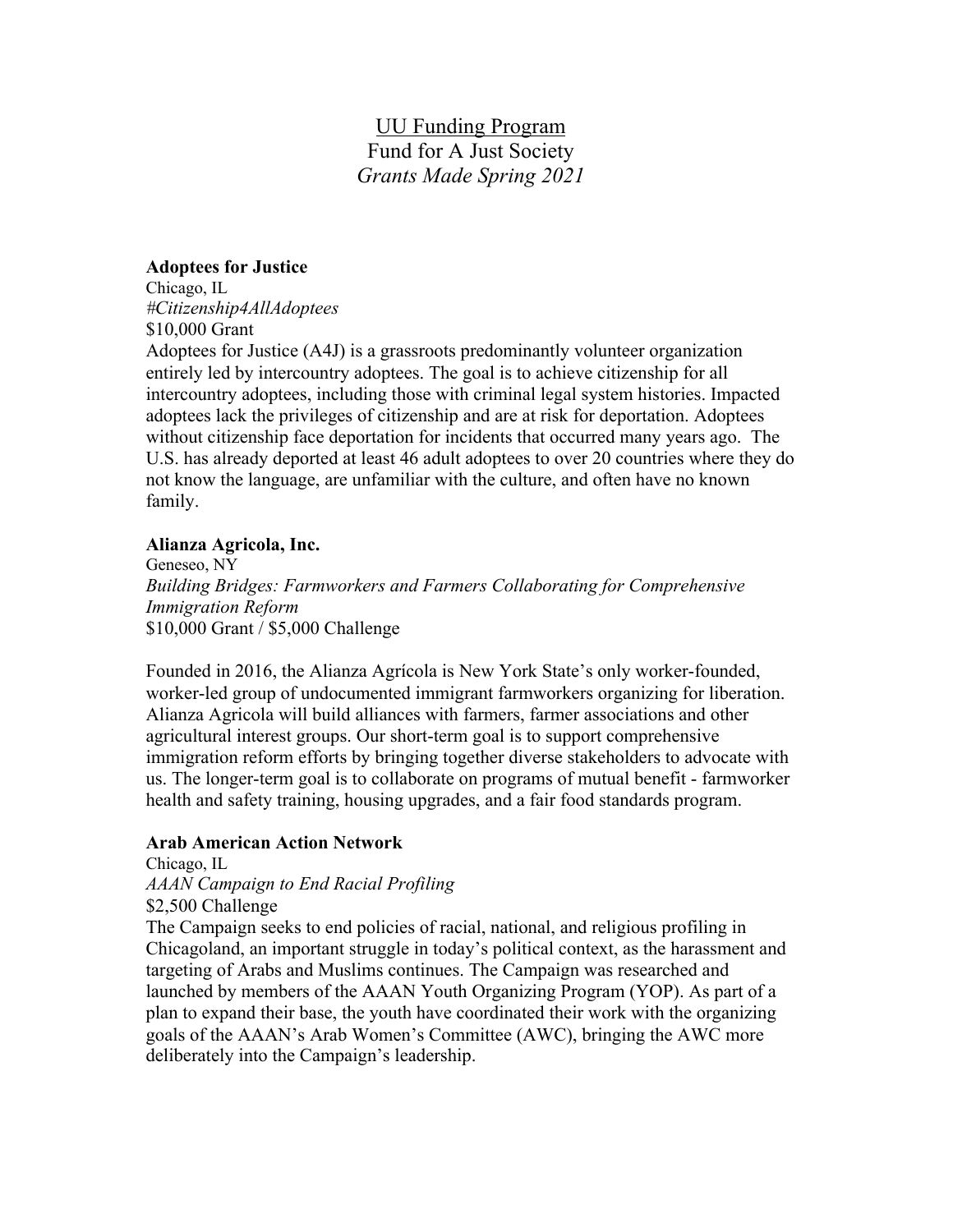# UU Funding Program Fund for A Just Society *Grants Made Spring 2021*

## **Adoptees for Justice**

Chicago, IL *#Citizenship4AllAdoptees*

\$10,000 Grant

Adoptees for Justice (A4J) is a grassroots predominantly volunteer organization entirely led by intercountry adoptees. The goal is to achieve citizenship for all intercountry adoptees, including those with criminal legal system histories. Impacted adoptees lack the privileges of citizenship and are at risk for deportation. Adoptees without citizenship face deportation for incidents that occurred many years ago. The U.S. has already deported at least 46 adult adoptees to over 20 countries where they do not know the language, are unfamiliar with the culture, and often have no known family.

# **Alianza Agricola, Inc.**

Geneseo, NY *Building Bridges: Farmworkers and Farmers Collaborating for Comprehensive Immigration Reform*  \$10,000 Grant / \$5,000 Challenge

Founded in 2016, the Alianza Agrícola is New York State's only worker-founded, worker-led group of undocumented immigrant farmworkers organizing for liberation. Alianza Agricola will build alliances with farmers, farmer associations and other agricultural interest groups. Our short-term goal is to support comprehensive immigration reform efforts by bringing together diverse stakeholders to advocate with us. The longer-term goal is to collaborate on programs of mutual benefit - farmworker health and safety training, housing upgrades, and a fair food standards program.

# **Arab American Action Network**

Chicago, IL *AAAN Campaign to End Racial Profiling* \$2,500 Challenge The Campaign seeks to end policies of racial, national, and religious profiling in Chicagoland, an important struggle in today's political context, as the harassment and targeting of Arabs and Muslims continues. The Campaign was researched and launched by members of the AAAN Youth Organizing Program (YOP). As part of a plan to expand their base, the youth have coordinated their work with the organizing goals of the AAAN's Arab Women's Committee (AWC), bringing the AWC more deliberately into the Campaign's leadership.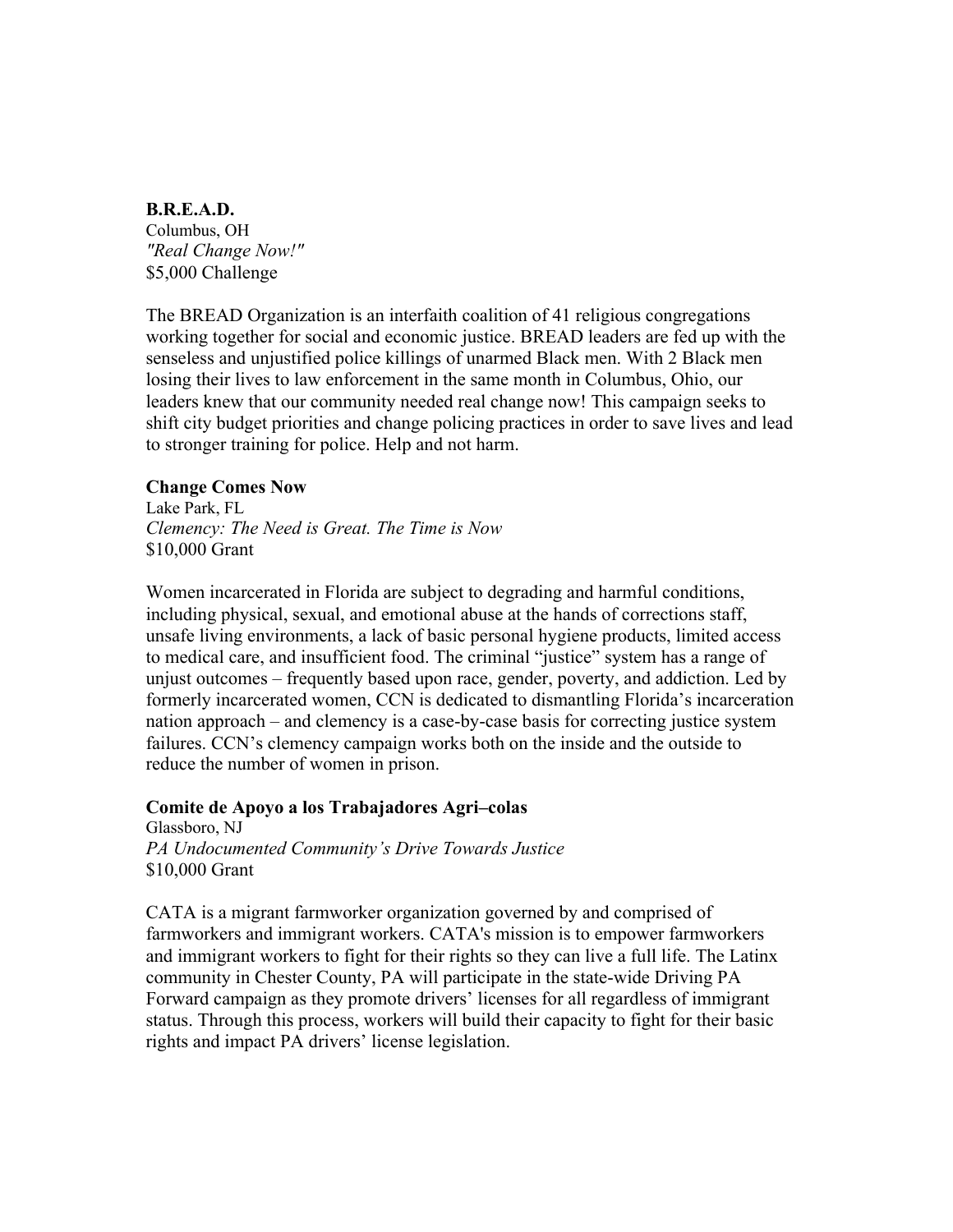## **B.R.E.A.D.**

Columbus, OH *"Real Change Now!"* \$5,000 Challenge

The BREAD Organization is an interfaith coalition of 41 religious congregations working together for social and economic justice. BREAD leaders are fed up with the senseless and unjustified police killings of unarmed Black men. With 2 Black men losing their lives to law enforcement in the same month in Columbus, Ohio, our leaders knew that our community needed real change now! This campaign seeks to shift city budget priorities and change policing practices in order to save lives and lead to stronger training for police. Help and not harm.

## **Change Comes Now**

Lake Park, FL *Clemency: The Need is Great. The Time is Now* \$10,000 Grant

Women incarcerated in Florida are subject to degrading and harmful conditions, including physical, sexual, and emotional abuse at the hands of corrections staff, unsafe living environments, a lack of basic personal hygiene products, limited access to medical care, and insufficient food. The criminal "justice" system has a range of unjust outcomes – frequently based upon race, gender, poverty, and addiction. Led by formerly incarcerated women, CCN is dedicated to dismantling Florida's incarceration nation approach – and clemency is a case-by-case basis for correcting justice system failures. CCN's clemency campaign works both on the inside and the outside to reduce the number of women in prison.

#### **Comite de Apoyo a los Trabajadores Agri–colas**

Glassboro, NJ *PA Undocumented Community's Drive Towards Justice* \$10,000 Grant

CATA is a migrant farmworker organization governed by and comprised of farmworkers and immigrant workers. CATA's mission is to empower farmworkers and immigrant workers to fight for their rights so they can live a full life. The Latinx community in Chester County, PA will participate in the state-wide Driving PA Forward campaign as they promote drivers' licenses for all regardless of immigrant status. Through this process, workers will build their capacity to fight for their basic rights and impact PA drivers' license legislation.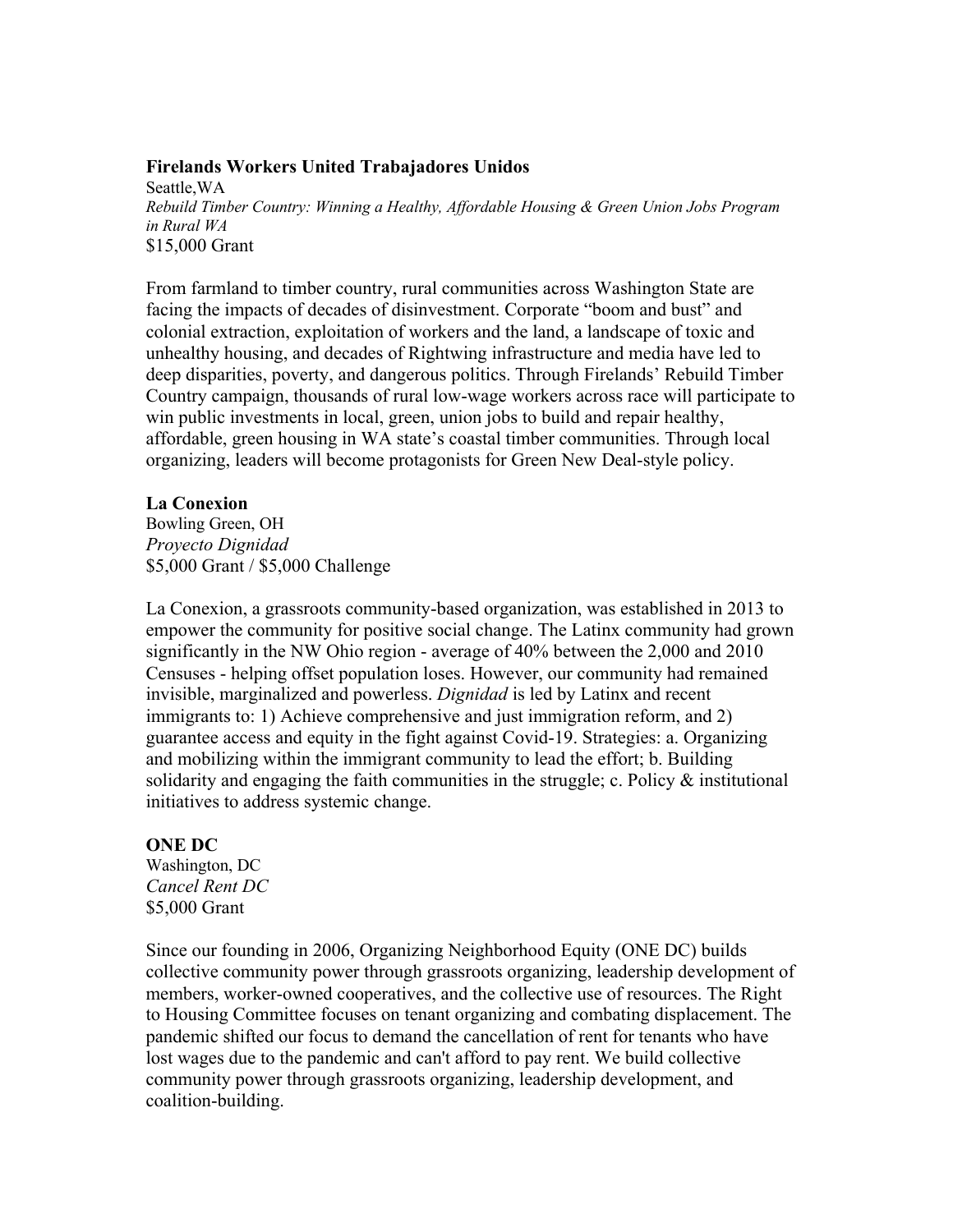## **Firelands Workers United Trabajadores Unidos**

Seattle,WA *Rebuild Timber Country: Winning a Healthy, Affordable Housing & Green Union Jobs Program in Rural WA* \$15,000 Grant

From farmland to timber country, rural communities across Washington State are facing the impacts of decades of disinvestment. Corporate "boom and bust" and colonial extraction, exploitation of workers and the land, a landscape of toxic and unhealthy housing, and decades of Rightwing infrastructure and media have led to deep disparities, poverty, and dangerous politics. Through Firelands' Rebuild Timber Country campaign, thousands of rural low-wage workers across race will participate to win public investments in local, green, union jobs to build and repair healthy, affordable, green housing in WA state's coastal timber communities. Through local organizing, leaders will become protagonists for Green New Deal-style policy.

## **La Conexion**

Bowling Green, OH *Proyecto Dignidad* \$5,000 Grant / \$5,000 Challenge

La Conexion, a grassroots community-based organization, was established in 2013 to empower the community for positive social change. The Latinx community had grown significantly in the NW Ohio region - average of 40% between the 2,000 and 2010 Censuses - helping offset population loses. However, our community had remained invisible, marginalized and powerless. *Dignidad* is led by Latinx and recent immigrants to: 1) Achieve comprehensive and just immigration reform, and 2) guarantee access and equity in the fight against Covid-19. Strategies: a. Organizing and mobilizing within the immigrant community to lead the effort; b. Building solidarity and engaging the faith communities in the struggle; c. Policy  $\&$  institutional initiatives to address systemic change.

## **ONE DC**

Washington, DC *Cancel Rent DC* \$5,000 Grant

Since our founding in 2006, Organizing Neighborhood Equity (ONE DC) builds collective community power through grassroots organizing, leadership development of members, worker-owned cooperatives, and the collective use of resources. The Right to Housing Committee focuses on tenant organizing and combating displacement. The pandemic shifted our focus to demand the cancellation of rent for tenants who have lost wages due to the pandemic and can't afford to pay rent. We build collective community power through grassroots organizing, leadership development, and coalition-building.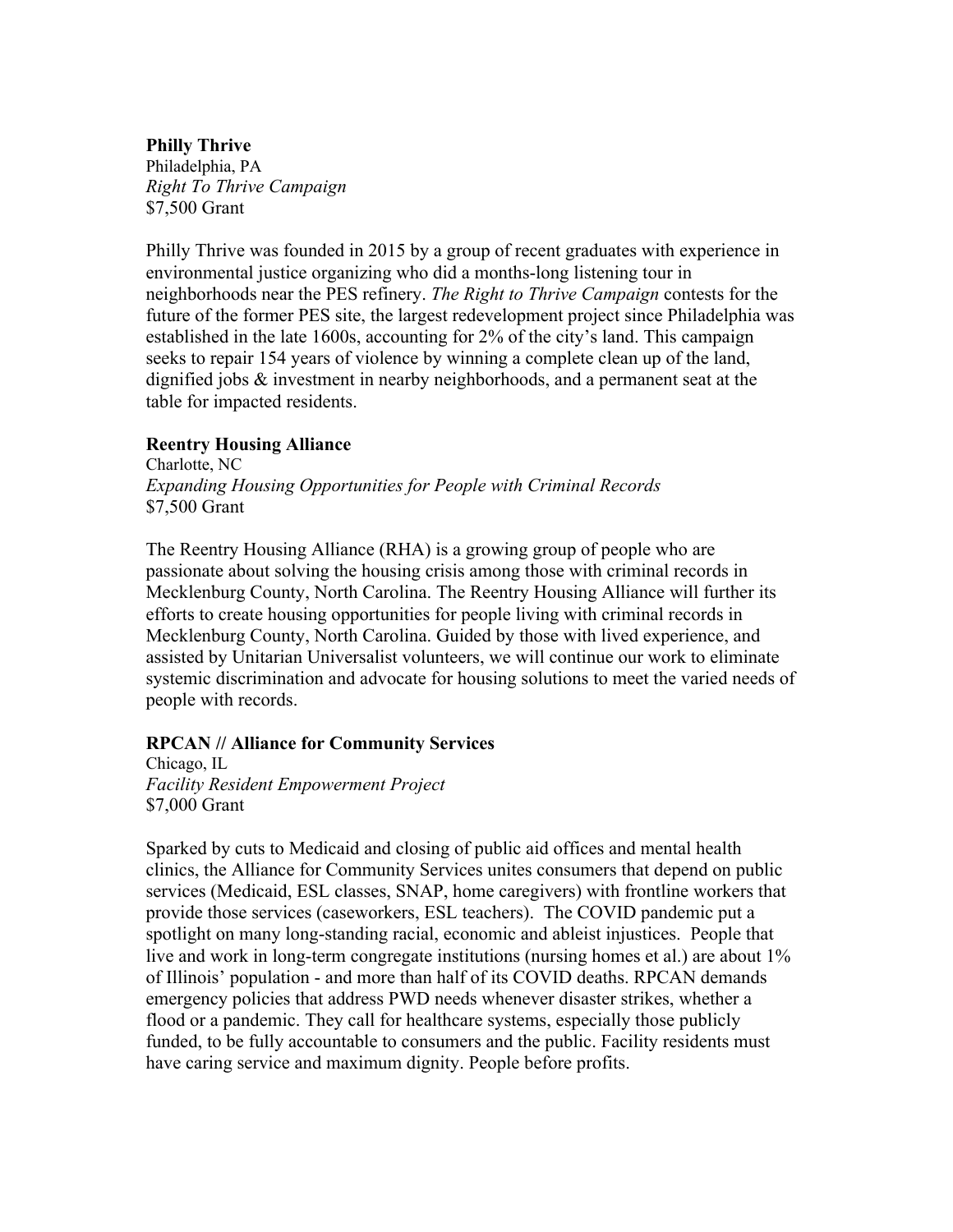# **Philly Thrive**

Philadelphia, PA *Right To Thrive Campaign* \$7,500 Grant

Philly Thrive was founded in 2015 by a group of recent graduates with experience in environmental justice organizing who did a months-long listening tour in neighborhoods near the PES refinery. *The Right to Thrive Campaign* contests for the future of the former PES site, the largest redevelopment project since Philadelphia was established in the late 1600s, accounting for 2% of the city's land. This campaign seeks to repair 154 years of violence by winning a complete clean up of the land, dignified jobs & investment in nearby neighborhoods, and a permanent seat at the table for impacted residents.

## **Reentry Housing Alliance**

Charlotte, NC *Expanding Housing Opportunities for People with Criminal Records* \$7,500 Grant

The Reentry Housing Alliance (RHA) is a growing group of people who are passionate about solving the housing crisis among those with criminal records in Mecklenburg County, North Carolina. The Reentry Housing Alliance will further its efforts to create housing opportunities for people living with criminal records in Mecklenburg County, North Carolina. Guided by those with lived experience, and assisted by Unitarian Universalist volunteers, we will continue our work to eliminate systemic discrimination and advocate for housing solutions to meet the varied needs of people with records.

## **RPCAN // Alliance for Community Services**

Chicago, IL *Facility Resident Empowerment Project* \$7,000 Grant

Sparked by cuts to Medicaid and closing of public aid offices and mental health clinics, the Alliance for Community Services unites consumers that depend on public services (Medicaid, ESL classes, SNAP, home caregivers) with frontline workers that provide those services (caseworkers, ESL teachers). The COVID pandemic put a spotlight on many long-standing racial, economic and ableist injustices. People that live and work in long-term congregate institutions (nursing homes et al.) are about 1% of Illinois' population - and more than half of its COVID deaths. RPCAN demands emergency policies that address PWD needs whenever disaster strikes, whether a flood or a pandemic. They call for healthcare systems, especially those publicly funded, to be fully accountable to consumers and the public. Facility residents must have caring service and maximum dignity. People before profits.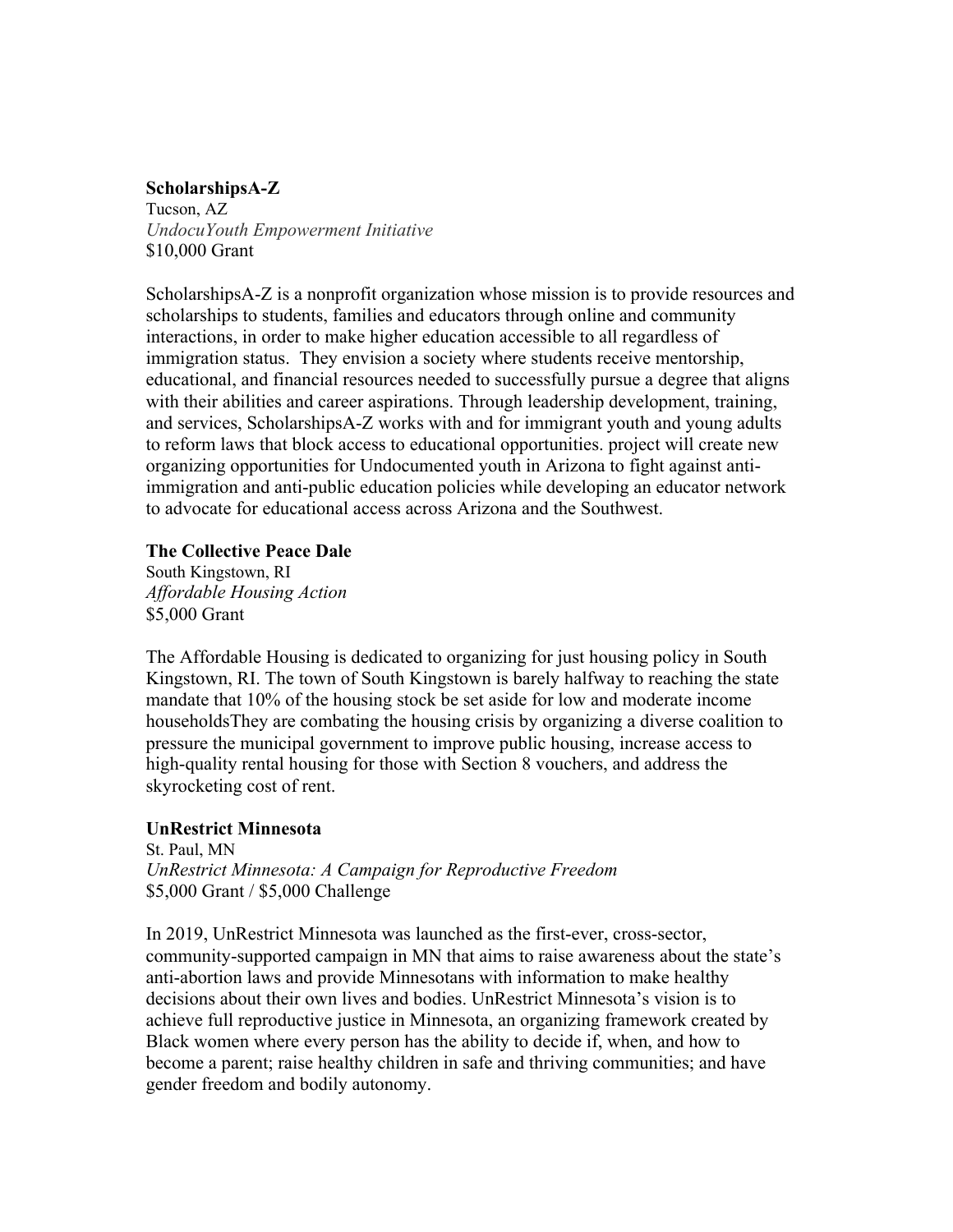# **ScholarshipsA-Z**

Tucson, AZ *UndocuYouth Empowerment Initiative* \$10,000 Grant

ScholarshipsA-Z is a nonprofit organization whose mission is to provide resources and scholarships to students, families and educators through online and community interactions, in order to make higher education accessible to all regardless of immigration status. They envision a society where students receive mentorship, educational, and financial resources needed to successfully pursue a degree that aligns with their abilities and career aspirations. Through leadership development, training, and services, ScholarshipsA-Z works with and for immigrant youth and young adults to reform laws that block access to educational opportunities. project will create new organizing opportunities for Undocumented youth in Arizona to fight against antiimmigration and anti-public education policies while developing an educator network to advocate for educational access across Arizona and the Southwest.

## **The Collective Peace Dale**

South Kingstown, RI *Affordable Housing Action* \$5,000 Grant

The Affordable Housing is dedicated to organizing for just housing policy in South Kingstown, RI. The town of South Kingstown is barely halfway to reaching the state mandate that 10% of the housing stock be set aside for low and moderate income householdsThey are combating the housing crisis by organizing a diverse coalition to pressure the municipal government to improve public housing, increase access to high-quality rental housing for those with Section 8 vouchers, and address the skyrocketing cost of rent.

# **UnRestrict Minnesota**

St. Paul, MN *UnRestrict Minnesota: A Campaign for Reproductive Freedom* \$5,000 Grant / \$5,000 Challenge

In 2019, UnRestrict Minnesota was launched as the first-ever, cross-sector, community-supported campaign in MN that aims to raise awareness about the state's anti-abortion laws and provide Minnesotans with information to make healthy decisions about their own lives and bodies. UnRestrict Minnesota's vision is to achieve full reproductive justice in Minnesota, an organizing framework created by Black women where every person has the ability to decide if, when, and how to become a parent; raise healthy children in safe and thriving communities; and have gender freedom and bodily autonomy.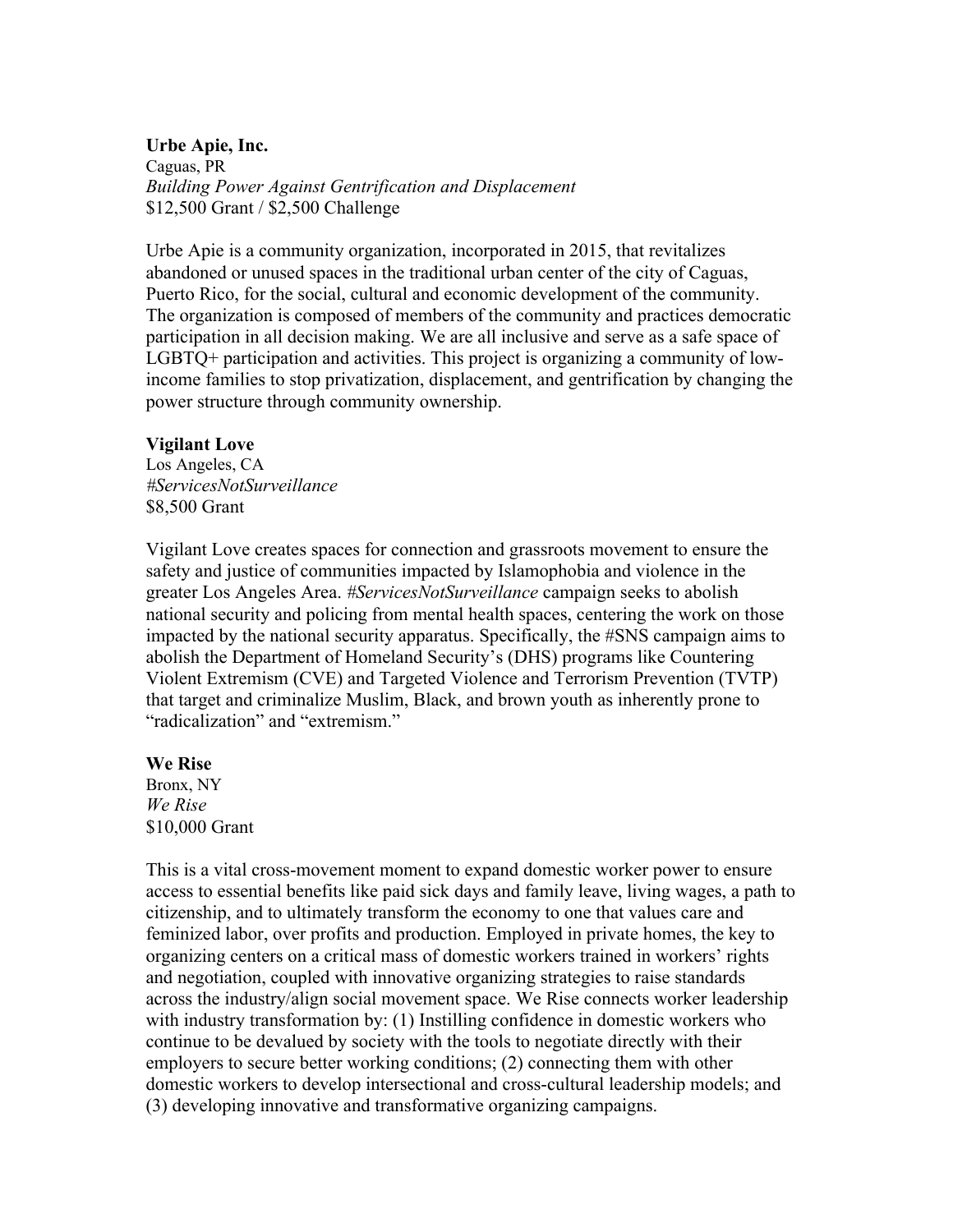## **Urbe Apie, Inc.** Caguas, PR *Building Power Against Gentrification and Displacement* \$12,500 Grant / \$2,500 Challenge

Urbe Apie is a community organization, incorporated in 2015, that revitalizes abandoned or unused spaces in the traditional urban center of the city of Caguas, Puerto Rico, for the social, cultural and economic development of the community. The organization is composed of members of the community and practices democratic participation in all decision making. We are all inclusive and serve as a safe space of LGBTQ+ participation and activities. This project is organizing a community of lowincome families to stop privatization, displacement, and gentrification by changing the power structure through community ownership.

## **Vigilant Love**

Los Angeles, CA *#ServicesNotSurveillance* \$8,500 Grant

Vigilant Love creates spaces for connection and grassroots movement to ensure the safety and justice of communities impacted by Islamophobia and violence in the greater Los Angeles Area. *#ServicesNotSurveillance* campaign seeks to abolish national security and policing from mental health spaces, centering the work on those impacted by the national security apparatus. Specifically, the #SNS campaign aims to abolish the Department of Homeland Security's (DHS) programs like Countering Violent Extremism (CVE) and Targeted Violence and Terrorism Prevention (TVTP) that target and criminalize Muslim, Black, and brown youth as inherently prone to "radicalization" and "extremism."

## **We Rise**

Bronx, NY *We Rise*  \$10,000 Grant

This is a vital cross-movement moment to expand domestic worker power to ensure access to essential benefits like paid sick days and family leave, living wages, a path to citizenship, and to ultimately transform the economy to one that values care and feminized labor, over profits and production. Employed in private homes, the key to organizing centers on a critical mass of domestic workers trained in workers' rights and negotiation, coupled with innovative organizing strategies to raise standards across the industry/align social movement space. We Rise connects worker leadership with industry transformation by: (1) Instilling confidence in domestic workers who continue to be devalued by society with the tools to negotiate directly with their employers to secure better working conditions; (2) connecting them with other domestic workers to develop intersectional and cross-cultural leadership models; and (3) developing innovative and transformative organizing campaigns.